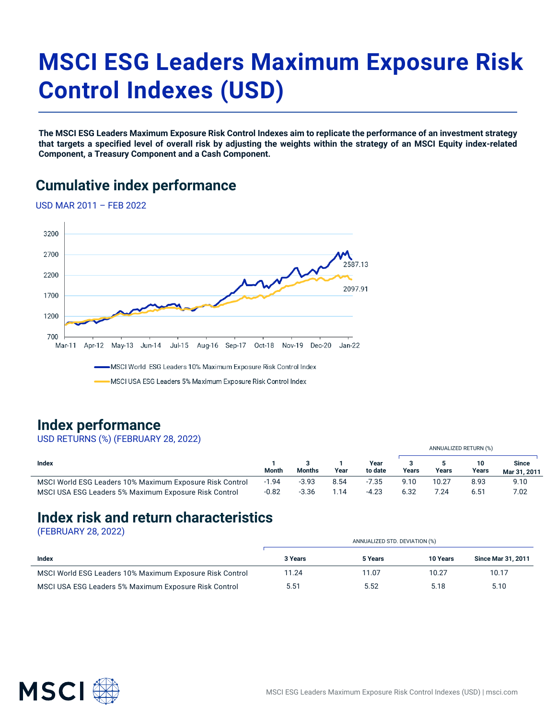# **MSCI ESG Leaders Maximum Exposure Risk Control Indexes (USD)**

**The MSCI ESG Leaders Maximum Exposure Risk Control Indexes aim to replicate the performance of an investment strategy that targets a specified level of overall risk by adjusting the weights within the strategy of an MSCI Equity index-related Component, a Treasury Component and a Cash Component.**

## **Cumulative index performance**

USD MAR 2011 – FEB 2022



#### **Index performance**

#### USD RETURNS (%) (FEBRUARY 28, 2022)

|                                                          |         |               |      |                 |       |       | ANNUALIZED RETURN (%) |                       |
|----------------------------------------------------------|---------|---------------|------|-----------------|-------|-------|-----------------------|-----------------------|
| Index                                                    | Month   | <b>Months</b> | Year | Year<br>to date | Years | Years | 10<br>Years           | Since<br>Mar 31, 2011 |
| MSCI World ESG Leaders 10% Maximum Exposure Risk Control | $-1.94$ | $-3.93$       | 8.54 | $-7.35$         | 9.10  | 10.27 | 8.93                  | 9.10                  |
| MSCI USA ESG Leaders 5% Maximum Exposure Risk Control    | $-0.82$ | $-3.36$       | l.14 | $-4.23$         | 6.32  | 7.24  | 6.51                  | 7.02                  |

## **Index risk and return characteristics**

(FEBRUARY 28, 2022)

|                                                          | ANNUALIZED STD. DEVIATION (%) |         |                 |                           |
|----------------------------------------------------------|-------------------------------|---------|-----------------|---------------------------|
| Index                                                    | 3 Years                       | 5 Years | <b>10 Years</b> | <b>Since Mar 31, 2011</b> |
| MSCI World ESG Leaders 10% Maximum Exposure Risk Control | 11.24                         | 11.07   | 10.27           | 10.17                     |
| MSCI USA ESG Leaders 5% Maximum Exposure Risk Control    | 5.51                          | 5.52    | 5.18            | 5.10                      |